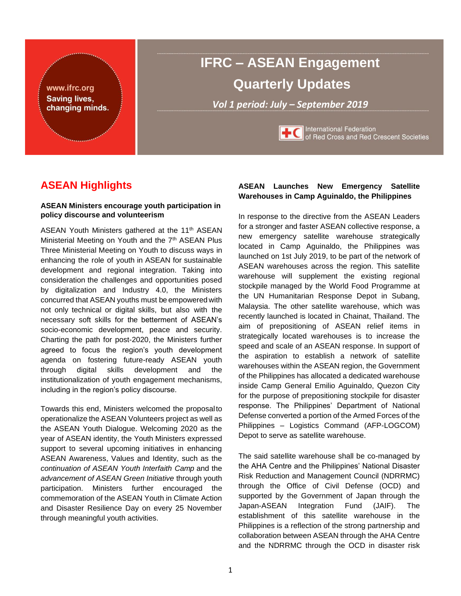

# **IFRC – ASEAN Engagement Quarterly Updates**

*Vol 1 period: July – September 2019*



International Federation<br>of Red Cross and Red Crescent Societies

# **ASEAN Highlights**

#### **ASEAN Ministers encourage youth participation in policy discourse and volunteerism**

ASEAN Youth Ministers gathered at the 11<sup>th</sup> ASEAN Ministerial Meeting on Youth and the 7<sup>th</sup> ASEAN Plus Three Ministerial Meeting on Youth to discuss ways in enhancing the role of youth in ASEAN for sustainable development and regional integration. Taking into consideration the challenges and opportunities posed by digitalization and Industry 4.0, the Ministers concurred that ASEAN youths must be empowered with not only technical or digital skills, but also with the necessary soft skills for the betterment of ASEAN's socio-economic development, peace and security. Charting the path for post-2020, the Ministers further agreed to focus the region's youth development agenda on fostering future-ready ASEAN youth through digital skills development and the institutionalization of youth engagement mechanisms, including in the region's policy discourse.

Towards this end, Ministers welcomed the proposalto operationalize the ASEAN Volunteers project as well as the ASEAN Youth Dialogue. Welcoming 2020 as the year of ASEAN identity, the Youth Ministers expressed support to several upcoming initiatives in enhancing ASEAN Awareness, Values and Identity, such as the *continuation of ASEAN Youth Interfaith Camp* and the *advancement of ASEAN Green Initiative* through youth participation. Ministers further encouraged the commemoration of the ASEAN Youth in Climate Action and Disaster Resilience Day on every 25 November through meaningful youth activities.

#### **ASEAN Launches New Emergency Satellite Warehouses in Camp Aguinaldo, the Philippines**

In response to the directive from the ASEAN Leaders for a stronger and faster ASEAN collective response, a new emergency satellite warehouse strategically located in Camp Aguinaldo, the Philippines was launched on 1st July 2019, to be part of the network of ASEAN warehouses across the region. This satellite warehouse will supplement the existing regional stockpile managed by the World Food Programme at the UN Humanitarian Response Depot in Subang, Malaysia. The other satellite warehouse, which was recently launched is located in Chainat, Thailand. The aim of prepositioning of ASEAN relief items in strategically located warehouses is to increase the speed and scale of an ASEAN response. In support of the aspiration to establish a network of satellite warehouses within the ASEAN region, the Government of the Philippines has allocated a dedicated warehouse inside Camp General Emilio Aguinaldo, Quezon City for the purpose of prepositioning stockpile for disaster response. The Philippines' Department of National Defense converted a portion of the Armed Forces of the Philippines – Logistics Command (AFP-LOGCOM) Depot to serve as satellite warehouse.

The said satellite warehouse shall be co-managed by the AHA Centre and the Philippines' National Disaster Risk Reduction and Management Council (NDRRMC) through the Office of Civil Defense (OCD) and supported by the Government of Japan through the Japan-ASEAN Integration Fund (JAIF). The establishment of this satellite warehouse in the Philippines is a reflection of the strong partnership and collaboration between ASEAN through the AHA Centre and the NDRRMC through the OCD in disaster risk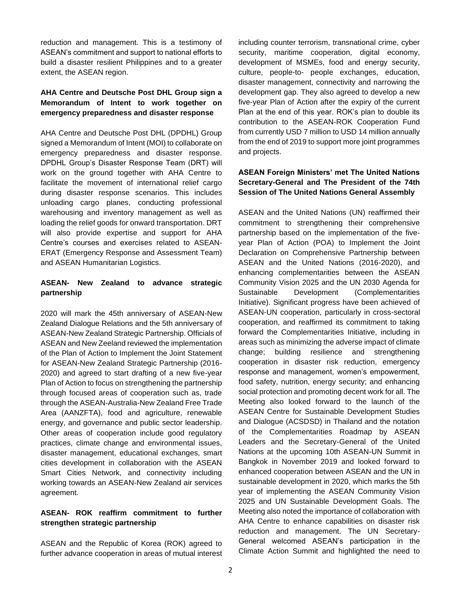reduction and management. This is a testimony of ASEAN's commitment and support to national efforts to build a disaster resilient Philippines and to a greater extent, the ASEAN region.

# **AHA Centre and Deutsche Post DHL Group sign a Memorandum of Intent to work together on emergency preparedness and disaster response**

AHA Centre and Deutsche Post DHL (DPDHL) Group signed a Memorandum of Intent (MOI) to collaborate on emergency preparedness and disaster response. DPDHL Group's Disaster Response Team (DRT) will work on the ground together with AHA Centre to facilitate the movement of international relief cargo during disaster response scenarios. This includes unloading cargo planes, conducting professional warehousing and inventory management as well as loading the relief goods for onward transportation. DRT will also provide expertise and support for AHA Centre's courses and exercises related to ASEAN-ERAT (Emergency Response and Assessment Team) and ASEAN Humanitarian Logistics.

## **ASEAN- New Zealand to advance strategic partnership**

2020 will mark the 45th anniversary of ASEAN-New Zealand Dialogue Relations and the 5th anniversary of ASEAN-New Zealand Strategic Partnership. Officials of ASEAN and New Zeeland reviewed the implementation of the Plan of Action to Implement the Joint Statement for ASEAN-New Zealand Strategic Partnership (2016- 2020) and agreed to start drafting of a new five-year Plan of Action to focus on strengthening the partnership through focused areas of cooperation such as, trade through the ASEAN-Australia-New Zealand Free Trade Area (AANZFTA), food and agriculture, renewable energy, and governance and public sector leadership. Other areas of cooperation include good regulatory practices, climate change and environmental issues, disaster management, educational exchanges, smart cities development in collaboration with the ASEAN Smart Cities Network, and connectivity including working towards an ASEAN-New Zealand air services agreement.

#### **ASEAN- ROK reaffirm commitment to further strengthen strategic partnership**

ASEAN and the Republic of Korea (ROK) agreed to further advance cooperation in areas of mutual interest including counter terrorism, transnational crime, cyber security, maritime cooperation, digital economy, development of MSMEs, food and energy security, culture, people-to- people exchanges, education, disaster management, connectivity and narrowing the development gap. They also agreed to develop a new five-year Plan of Action after the expiry of the current Plan at the end of this year. ROK's plan to double its contribution to the ASEAN-ROK Cooperation Fund from currently USD 7 million to USD 14 million annually from the end of 2019 to support more joint programmes and projects.

# **ASEAN Foreign Ministers' met The United Nations Secretary-General and The President of the 74th Session of The United Nations General Assembly**

ASEAN and the United Nations (UN) reaffirmed their commitment to strengthening their comprehensive partnership based on the implementation of the fiveyear Plan of Action (POA) to Implement the Joint Declaration on Comprehensive Partnership between ASEAN and the United Nations (2016-2020), and enhancing complementarities between the ASEAN Community Vision 2025 and the UN 2030 Agenda for Sustainable Development (Complementarities Initiative). Significant progress have been achieved of ASEAN-UN cooperation, particularly in cross-sectoral cooperation, and reaffirmed its commitment to taking forward the Complementarities Initiative, including in areas such as minimizing the adverse impact of climate change; building resilience and strengthening cooperation in disaster risk reduction, emergency response and management, women's empowerment, food safety, nutrition, energy security; and enhancing social protection and promoting decent work for all. The Meeting also looked forward to the launch of the ASEAN Centre for Sustainable Development Studies and Dialogue (ACSDSD) in Thailand and the notation of the Complementarities Roadmap by ASEAN Leaders and the Secretary-General of the United Nations at the upcoming 10th ASEAN-UN Summit in Bangkok in November 2019 and looked forward to enhanced cooperation between ASEAN and the UN in sustainable development in 2020, which marks the 5th year of implementing the ASEAN Community Vision 2025 and UN Sustainable Development Goals. The Meeting also noted the importance of collaboration with AHA Centre to enhance capabilities on disaster risk reduction and management. The UN Secretary-General welcomed ASEAN's participation in the Climate Action Summit and highlighted the need to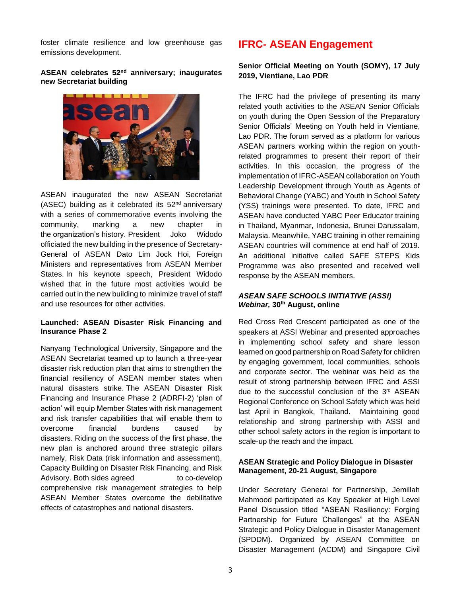foster climate resilience and low greenhouse gas emissions development.

#### **ASEAN celebrates 52nd anniversary; inaugurates new Secretariat building**



ASEAN inaugurated the new ASEAN Secretariat (ASEC) building as it celebrated its 52nd anniversary with a series of commemorative events involving the community, marking a new chapter in the organization's history. President Joko Widodo officiated the new building in the presence of Secretary-General of ASEAN Dato Lim Jock Hoi, Foreign Ministers and representatives from ASEAN Member States. In his keynote speech, President Widodo wished that in the future most activities would be carried out in the new building to minimize travel of staff and use resources for other activities.

#### **Launched: ASEAN Disaster Risk Financing and Insurance Phase 2**

Nanyang Technological University, Singapore and the ASEAN Secretariat teamed up to launch a three-year disaster risk reduction plan that aims to strengthen the financial resiliency of ASEAN member states when natural disasters strike. The ASEAN Disaster Risk Financing and Insurance Phase 2 (ADRFI-2) 'plan of action' will equip Member States with risk management and risk transfer capabilities that will enable them to overcome financial burdens caused by disasters. Riding on the success of the first phase, the new plan is anchored around three strategic pillars namely, Risk Data (risk information and assessment), Capacity Building on Disaster Risk Financing, and Risk Advisory. Both sides agreed to co-develop comprehensive risk management strategies to help ASEAN Member States overcome the debilitative effects of catastrophes and national disasters.

# **IFRC- ASEAN Engagement**

### **Senior Official Meeting on Youth (SOMY), 17 July 2019, Vientiane, Lao PDR**

The IFRC had the privilege of presenting its many related youth activities to the ASEAN Senior Officials on youth during the Open Session of the Preparatory Senior Officials' Meeting on Youth held in Vientiane, Lao PDR. The forum served as a platform for various ASEAN partners working within the region on youthrelated programmes to present their report of their activities. In this occasion, the progress of the implementation of IFRC-ASEAN collaboration on Youth Leadership Development through Youth as Agents of Behavioral Change (YABC) and Youth in School Safety (YSS) trainings were presented. To date, IFRC and ASEAN have conducted YABC Peer Educator training in Thailand, Myanmar, Indonesia, Brunei Darussalam, Malaysia. Meanwhile, YABC training in other remaining ASEAN countries will commence at end half of 2019. An additional initiative called SAFE STEPS Kids Programme was also presented and received well response by the ASEAN members.

#### *[ASEAN SAFE SCHOOLS INITIATIVE \(ASSI\)](https://aseansafeschoolsinitiative.org/3rd-webinar-approaches-in-implementing-school-safety/)  [Webinar,](https://aseansafeschoolsinitiative.org/3rd-webinar-approaches-in-implementing-school-safety/)* **30th August, online**

Red Cross Red Crescent participated as one of the speakers at ASSI Webinar and presented approaches in implementing school safety and share lesson learned on good partnership on Road Safety for children by engaging government, local communities, schools and corporate sector. The webinar was held as the result of strong partnership between IFRC and ASSI due to the successful conclusion of the 3rd [ASEAN](https://www.rcrc-resilience-southeastasia.org/event/3rd-asean-regional-conference-on-school-safety-2-4-april-2019-bangkok-thailand/)  [Regional Conference on School Safety](https://www.rcrc-resilience-southeastasia.org/event/3rd-asean-regional-conference-on-school-safety-2-4-april-2019-bangkok-thailand/) which was held last April in Bangkok, Thailand. Maintaining good relationship and strong partnership with ASSI and other school safety actors in the region is important to scale-up the reach and the impact.

#### **ASEAN Strategic and Policy Dialogue in Disaster Management, 20-21 August, Singapore**

Under Secretary General for Partnership, Jemillah Mahmood participated as Key Speaker at High Level Panel Discussion titled "ASEAN Resiliency: Forging Partnership for Future Challenges" at the ASEAN Strategic and Policy Dialogue in Disaster Management (SPDDM). Organized by ASEAN Committee on Disaster Management (ACDM) and Singapore Civil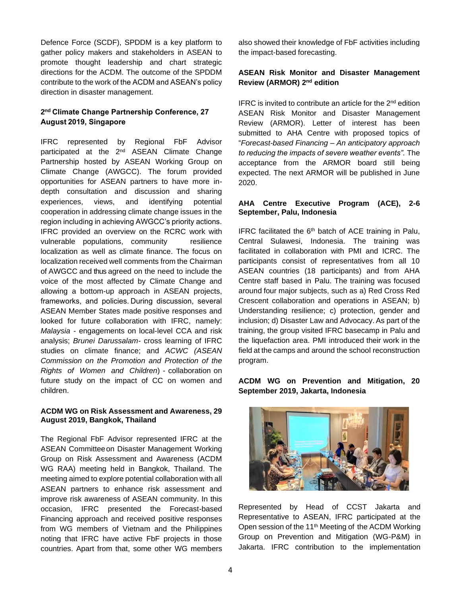Defence Force (SCDF), SPDDM is a key platform to gather policy makers and stakeholders in ASEAN to promote thought leadership and chart strategic directions for the ACDM. The outcome of the SPDDM contribute to the work of the ACDM and ASEAN's policy direction in disaster management.

## **2 nd Climate Change Partnership Conference, 27 August 2019, Singapore**

IFRC represented by Regional FbF Advisor participated at the 2<sup>nd</sup> ASEAN Climate Change Partnership hosted by ASEAN Working Group on Climate Change (AWGCC). The forum provided opportunities for ASEAN partners to have more indepth consultation and discussion and sharing experiences, views, and identifying potential cooperation in addressing climate change issues in the region including in achieving AWGCC's priority actions. IFRC provided an overview on the RCRC work with vulnerable populations, community resilience localization as well as climate finance. The focus on localization received well comments from the Chairman of AWGCC and thus agreed on the need to include the voice of the most affected by Climate Change and allowing a bottom-up approach in ASEAN projects, frameworks, and policies. During discussion, several ASEAN Member States made positive responses and looked for future collaboration with IFRC, namely: *Malaysia -* engagements on local-level CCA and risk analysis; *Brunei Darussalam-* cross learning of IFRC studies on climate finance; and *ACWC (ASEAN Commission on the Promotion and Protection of the Rights of Women and Children*) - collaboration on future study on the impact of CC on women and children.

#### **ACDM WG on Risk Assessment and Awareness, 29 August 2019, Bangkok, Thailand**

The Regional FbF Advisor represented IFRC at the ASEAN Committeeon Disaster Management Working Group on Risk Assessment and Awareness (ACDM WG RAA) meeting held in Bangkok, Thailand. The meeting aimed to explore potential collaboration with all ASEAN partners to enhance risk assessment and improve risk awareness of ASEAN community. In this occasion, IFRC presented the Forecast-based Financing approach and received positive responses from WG members of Vietnam and the Philippines noting that IFRC have active FbF projects in those countries. Apart from that, some other WG members also showed their knowledge of FbF activities including the impact-based forecasting.

## **ASEAN Risk Monitor and Disaster Management Review (ARMOR) 2nd edition**

IFRC is invited to contribute an article for the  $2<sup>nd</sup>$  edition ASEAN Risk Monitor and Disaster Management Review (ARMOR). Letter of interest has been submitted to AHA Centre with proposed topics of "*Forecast-based Financing – An anticipatory approach to reducing the impacts of severe weather events".* The acceptance from the ARMOR board still being expected. The next ARMOR will be published in June 2020.

#### **AHA Centre Executive Program (ACE), 2-6 September, Palu, Indonesia**

IFRC facilitated the  $6<sup>th</sup>$  batch of ACE training in Palu, Central Sulawesi, Indonesia. The training was facilitated in collaboration with PMI and ICRC. The participants consist of representatives from all 10 ASEAN countries (18 participants) and from AHA Centre staff based in Palu. The training was focused around four major subjects, such as a) Red Cross Red Crescent collaboration and operations in ASEAN; b) Understanding resilience; c) protection, gender and inclusion; d) Disaster Law and Advocacy. As part of the training, the group visited IFRC basecamp in Palu and the liquefaction area. PMI introduced their work in the field at the camps and around the school reconstruction program.

# **ACDM WG on Prevention and Mitigation, 20 September 2019, Jakarta, Indonesia**



Represented by Head of CCST Jakarta and Representative to ASEAN, IFRC participated at the Open session of the 11<sup>th</sup> Meeting of the ACDM Working Group on Prevention and Mitigation (WG-P&M) in Jakarta. IFRC contribution to the implementation